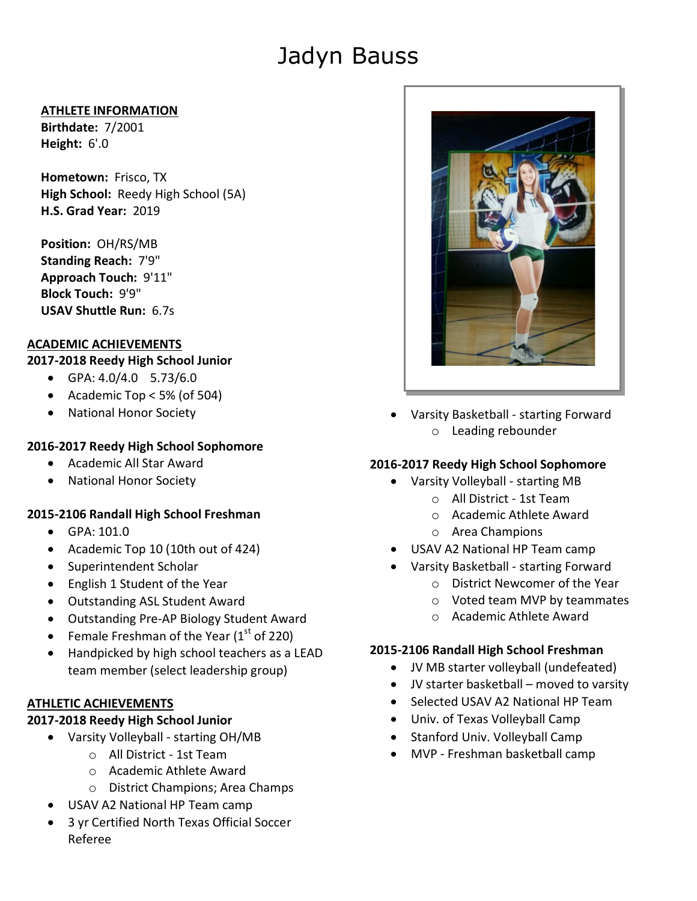# Jadyn Bauss

#### **ATHLETE INFORMATION**

**Birthdate:** 7/2001 **Height:** 6'.0

**Hometown:** Frisco, TX **High School:** Reedy High School (5A) **H.S. Grad Year:** 2019

**Position:** OH/RS/MB **Standing Reach:** 7'9" **Approach Touch:** 9'11" **Block Touch:** 9'9" **USAV Shuttle Run:** 6.7s

## **ACADEMIC ACHIEVEMENTS**

#### **2017-2018 Reedy High School Junior**

- GPA: 4.0/4.0 5.73/6.0
- Academic Top  $<$  5% (of 504)
- National Honor Society

## **2016-2017 Reedy High School Sophomore**

- Academic All Star Award
- National Honor Society

## **2015-2106 Randall High School Freshman**

- GPA: 101.0
- Academic Top 10 (10th out of 424)
- Superintendent Scholar
- English 1 Student of the Year
- Outstanding ASL Student Award
- Outstanding Pre-AP Biology Student Award
- Female Freshman of the Year  $(1<sup>st</sup>$  of 220)
- Handpicked by high school teachers as a LEAD team member (select leadership group)

## **ATHLETIC ACHIEVEMENTS**

#### **2017-2018 Reedy High School Junior**

- Varsity Volleyball starting OH/MB
	- o All District 1st Team
	- o Academic Athlete Award
	- o District Champions; Area Champs
- USAV A2 National HP Team camp
- 3 yr Certified North Texas Official Soccer Referee



 Varsity Basketball - starting Forward o Leading rebounder

## **2016-2017 Reedy High School Sophomore**

- Varsity Volleyball starting MB
	- o All District 1st Team
	- o Academic Athlete Award
	- o Area Champions
- USAV A2 National HP Team camp
- Varsity Basketball starting Forward
	- o District Newcomer of the Year
	- o Voted team MVP by teammates
	- o Academic Athlete Award

## **2015-2106 Randall High School Freshman**

- JV MB starter volleyball (undefeated)
- JV starter basketball moved to varsity
- Selected USAV A2 National HP Team
- Univ. of Texas Volleyball Camp
- Stanford Univ. Volleyball Camp
- MVP Freshman basketball camp